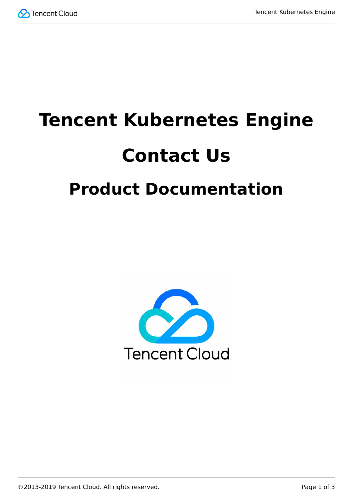

# **Tencent Kubernetes Engine Contact Us Product Documentation**

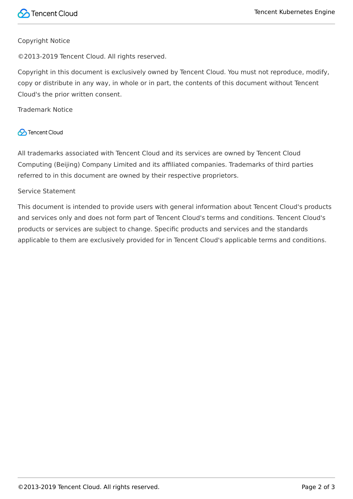#### Copyright Notice

©2013-2019 Tencent Cloud. All rights reserved.

Copyright in this document is exclusively owned by Tencent Cloud. You must not reproduce, modify, copy or distribute in any way, in whole or in part, the contents of this document without Tencent Cloud's the prior written consent.

Trademark Notice

#### **C** Tencent Cloud

All trademarks associated with Tencent Cloud and its services are owned by Tencent Cloud Computing (Beijing) Company Limited and its affiliated companies. Trademarks of third parties referred to in this document are owned by their respective proprietors.

#### Service Statement

This document is intended to provide users with general information about Tencent Cloud's products and services only and does not form part of Tencent Cloud's terms and conditions. Tencent Cloud's products or services are subject to change. Specific products and services and the standards applicable to them are exclusively provided for in Tencent Cloud's applicable terms and conditions.